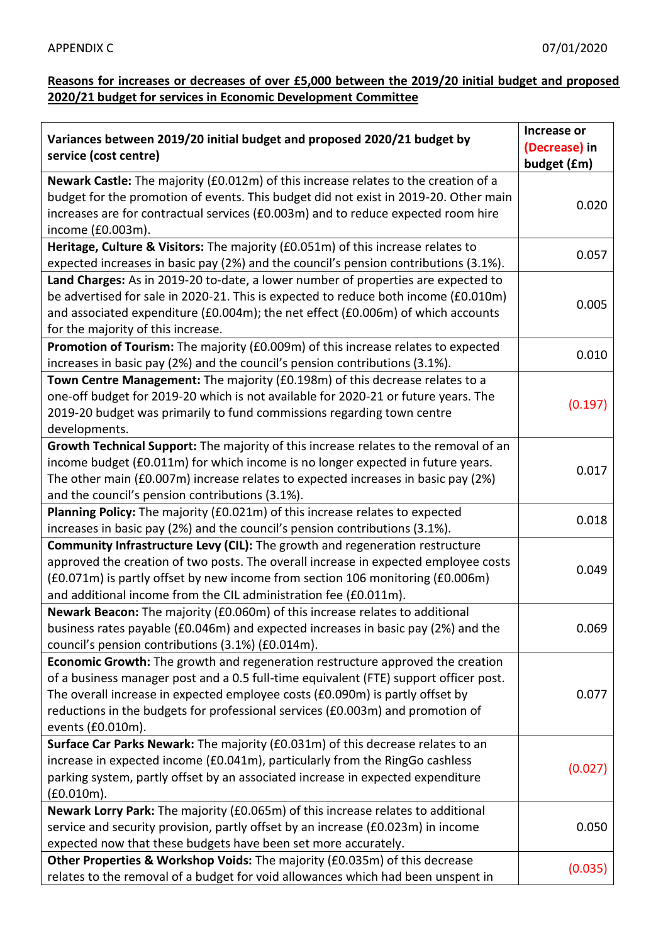## **Reasons for increases or decreases of over £5,000 between the 2019/20 initial budget and proposed 2020/21 budget for services in Economic Development Committee**

| Variances between 2019/20 initial budget and proposed 2020/21 budget by<br>service (cost centre) | Increase or<br>(Decrease) in |
|--------------------------------------------------------------------------------------------------|------------------------------|
|                                                                                                  | budget (£m)                  |
| Newark Castle: The majority (£0.012m) of this increase relates to the creation of a              |                              |
| budget for the promotion of events. This budget did not exist in 2019-20. Other main             | 0.020                        |
| increases are for contractual services (£0.003m) and to reduce expected room hire                |                              |
| income (£0.003m).                                                                                |                              |
| Heritage, Culture & Visitors: The majority (£0.051m) of this increase relates to                 | 0.057                        |
| expected increases in basic pay (2%) and the council's pension contributions (3.1%).             |                              |
| Land Charges: As in 2019-20 to-date, a lower number of properties are expected to                |                              |
| be advertised for sale in 2020-21. This is expected to reduce both income (£0.010m)              | 0.005                        |
| and associated expenditure (£0.004m); the net effect (£0.006m) of which accounts                 |                              |
| for the majority of this increase.                                                               |                              |
| Promotion of Tourism: The majority (£0.009m) of this increase relates to expected                | 0.010                        |
| increases in basic pay (2%) and the council's pension contributions (3.1%).                      |                              |
| Town Centre Management: The majority (£0.198m) of this decrease relates to a                     |                              |
| one-off budget for 2019-20 which is not available for 2020-21 or future years. The               | (0.197)                      |
| 2019-20 budget was primarily to fund commissions regarding town centre                           |                              |
| developments.                                                                                    |                              |
| Growth Technical Support: The majority of this increase relates to the removal of an             |                              |
| income budget (£0.011m) for which income is no longer expected in future years.                  | 0.017                        |
| The other main (£0.007m) increase relates to expected increases in basic pay (2%)                |                              |
| and the council's pension contributions (3.1%).                                                  |                              |
| Planning Policy: The majority (£0.021m) of this increase relates to expected                     | 0.018                        |
| increases in basic pay (2%) and the council's pension contributions (3.1%).                      |                              |
| Community Infrastructure Levy (CIL): The growth and regeneration restructure                     |                              |
| approved the creation of two posts. The overall increase in expected employee costs              | 0.049                        |
| (£0.071m) is partly offset by new income from section 106 monitoring (£0.006m)                   |                              |
| and additional income from the CIL administration fee (£0.011m).                                 |                              |
| Newark Beacon: The majority (£0.060m) of this increase relates to additional                     |                              |
| business rates payable (£0.046m) and expected increases in basic pay (2%) and the                | 0.069                        |
| council's pension contributions (3.1%) (£0.014m).                                                |                              |
| Economic Growth: The growth and regeneration restructure approved the creation                   |                              |
| of a business manager post and a 0.5 full-time equivalent (FTE) support officer post.            |                              |
| The overall increase in expected employee costs (£0.090m) is partly offset by                    | 0.077                        |
| reductions in the budgets for professional services (£0.003m) and promotion of                   |                              |
| events (£0.010m).                                                                                |                              |
| Surface Car Parks Newark: The majority (£0.031m) of this decrease relates to an                  |                              |
| increase in expected income (£0.041m), particularly from the RingGo cashless                     | (0.027)                      |
| parking system, partly offset by an associated increase in expected expenditure                  |                              |
| (£0.010m).                                                                                       |                              |
| Newark Lorry Park: The majority (£0.065m) of this increase relates to additional                 |                              |
| service and security provision, partly offset by an increase (£0.023m) in income                 | 0.050                        |
| expected now that these budgets have been set more accurately.                                   |                              |
| Other Properties & Workshop Voids: The majority (£0.035m) of this decrease                       | (0.035)                      |
| relates to the removal of a budget for void allowances which had been unspent in                 |                              |